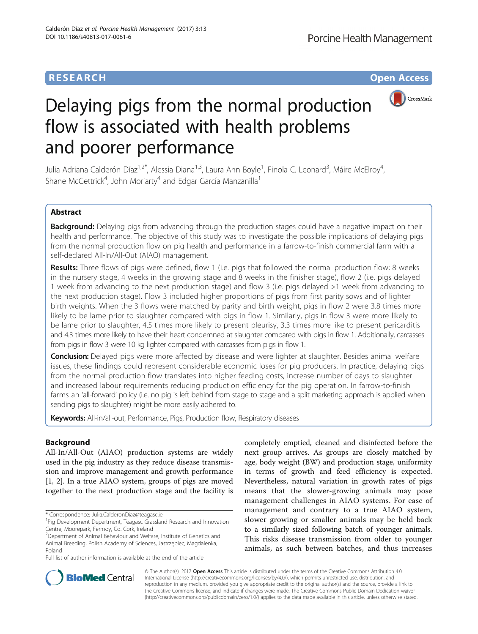# **RESEARCH CHE Open Access**



# Delaying pigs from the normal production flow is associated with health problems and poorer performance

Julia Adriana Calderón Díaz<sup>1,2\*</sup>, Alessia Diana<sup>1,3</sup>, Laura Ann Boyle<sup>1</sup>, Finola C. Leonard<sup>3</sup>, Máire McElroy<sup>4</sup> , Shane McGettrick<sup>4</sup>, John Moriarty<sup>4</sup> and Edgar García Manzanilla<sup>1</sup>

# Abstract

Background: Delaying pigs from advancing through the production stages could have a negative impact on their health and performance. The objective of this study was to investigate the possible implications of delaying pigs from the normal production flow on pig health and performance in a farrow-to-finish commercial farm with a self-declared All-In/All-Out (AIAO) management.

**Results:** Three flows of pigs were defined, flow 1 (i.e. pigs that followed the normal production flow; 8 weeks in the nursery stage, 4 weeks in the growing stage and 8 weeks in the finisher stage), flow 2 (i.e. pigs delayed 1 week from advancing to the next production stage) and flow 3 (i.e. pigs delayed >1 week from advancing to the next production stage). Flow 3 included higher proportions of pigs from first parity sows and of lighter birth weights. When the 3 flows were matched by parity and birth weight, pigs in flow 2 were 3.8 times more likely to be lame prior to slaughter compared with pigs in flow 1. Similarly, pigs in flow 3 were more likely to be lame prior to slaughter, 4.5 times more likely to present pleurisy, 3.3 times more like to present pericarditis and 4.3 times more likely to have their heart condemned at slaughter compared with pigs in flow 1. Additionally, carcasses from pigs in flow 3 were 10 kg lighter compared with carcasses from pigs in flow 1.

**Conclusion:** Delayed pigs were more affected by disease and were lighter at slaughter. Besides animal welfare issues, these findings could represent considerable economic loses for pig producers. In practice, delaying pigs from the normal production flow translates into higher feeding costs, increase number of days to slaughter and increased labour requirements reducing production efficiency for the pig operation. In farrow-to-finish farms an 'all-forward' policy (i.e. no pig is left behind from stage to stage and a split marketing approach is applied when sending pigs to slaughter) might be more easily adhered to.

Keywords: All-in/all-out, Performance, Pigs, Production flow, Respiratory diseases

# Background

All-In/All-Out (AIAO) production systems are widely used in the pig industry as they reduce disease transmission and improve management and growth performance [[1, 2](#page-5-0)]. In a true AIAO system, groups of pigs are moved together to the next production stage and the facility is

\* Correspondence: [Julia.CalderonDiaz@teagasc.ie](mailto:Julia.CalderonDiaz@teagasc.ie) <sup>1</sup>

completely emptied, cleaned and disinfected before the next group arrives. As groups are closely matched by age, body weight (BW) and production stage, uniformity in terms of growth and feed efficiency is expected. Nevertheless, natural variation in growth rates of pigs means that the slower-growing animals may pose management challenges in AIAO systems. For ease of management and contrary to a true AIAO system, slower growing or smaller animals may be held back to a similarly sized following batch of younger animals. This risks disease transmission from older to younger animals, as such between batches, and thus increases



© The Author(s). 2017 **Open Access** This article is distributed under the terms of the Creative Commons Attribution 4.0 International License [\(http://creativecommons.org/licenses/by/4.0/](http://creativecommons.org/licenses/by/4.0/)), which permits unrestricted use, distribution, and reproduction in any medium, provided you give appropriate credit to the original author(s) and the source, provide a link to the Creative Commons license, and indicate if changes were made. The Creative Commons Public Domain Dedication waiver [\(http://creativecommons.org/publicdomain/zero/1.0/](http://creativecommons.org/publicdomain/zero/1.0/)) applies to the data made available in this article, unless otherwise stated.

<sup>&</sup>lt;sup>1</sup>Pig Development Department, Teagasc Grassland Research and Innovation Centre, Moorepark, Fermoy, Co. Cork, Ireland

<sup>&</sup>lt;sup>2</sup> Department of Animal Behaviour and Welfare, Institute of Genetics and Animal Breeding, Polish Academy of Sciences, Jastrzębiec, Magdalenka, Poland

Full list of author information is available at the end of the article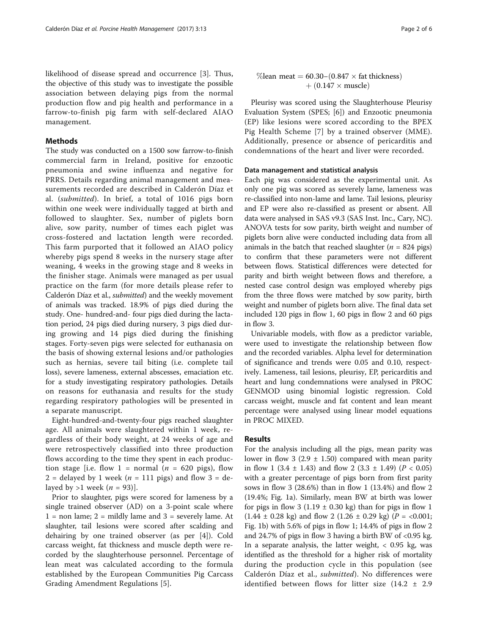likelihood of disease spread and occurrence [\[3](#page-5-0)]. Thus, the objective of this study was to investigate the possible association between delaying pigs from the normal production flow and pig health and performance in a farrow-to-finish pig farm with self-declared AIAO management.

# Methods

The study was conducted on a 1500 sow farrow-to-finish commercial farm in Ireland, positive for enzootic pneumonia and swine influenza and negative for PRRS. Details regarding animal management and measurements recorded are described in Calderón Díaz et al. (submitted). In brief, a total of 1016 pigs born within one week were individually tagged at birth and followed to slaughter. Sex, number of piglets born alive, sow parity, number of times each piglet was cross-fostered and lactation length were recorded. This farm purported that it followed an AIAO policy whereby pigs spend 8 weeks in the nursery stage after weaning, 4 weeks in the growing stage and 8 weeks in the finisher stage. Animals were managed as per usual practice on the farm (for more details please refer to Calderón Díaz et al., submitted) and the weekly movement of animals was tracked. 18.9% of pigs died during the study. One- hundred-and- four pigs died during the lactation period, 24 pigs died during nursery, 3 pigs died during growing and 14 pigs died during the finishing stages. Forty-seven pigs were selected for euthanasia on the basis of showing external lesions and/or pathologies such as hernias, severe tail biting (i.e. complete tail loss), severe lameness, external abscesses, emaciation etc. for a study investigating respiratory pathologies. Details on reasons for euthanasia and results for the study regarding respiratory pathologies will be presented in a separate manuscript.

Eight-hundred-and-twenty-four pigs reached slaughter age. All animals were slaughtered within 1 week, regardless of their body weight, at 24 weeks of age and were retrospectively classified into three production flows according to the time they spent in each production stage [i.e. flow 1 = normal ( $n = 620$  pigs), flow 2 = delayed by 1 week ( $n = 111$  pigs) and flow 3 = delayed by  $>1$  week (*n* = 93)].

Prior to slaughter, pigs were scored for lameness by a single trained observer (AD) on a 3-point scale where  $1 =$  non lame;  $2 =$  mildly lame and  $3 =$  severely lame. At slaughter, tail lesions were scored after scalding and dehairing by one trained observer (as per [[4\]](#page-5-0)). Cold carcass weight, fat thickness and muscle depth were recorded by the slaughterhouse personnel. Percentage of lean meat was calculated according to the formula established by the European Communities Pig Carcass Grading Amendment Regulations [\[5](#page-5-0)].

%lean meat =  $60.30-(0.847 \times \text{fat thickness})$  $+ (0.147 \times \text{muscle})$ 

Pleurisy was scored using the Slaughterhouse Pleurisy Evaluation System (SPES; [\[6](#page-5-0)]) and Enzootic pneumonia (EP) like lesions were scored according to the BPEX Pig Health Scheme [\[7](#page-5-0)] by a trained observer (MME). Additionally, presence or absence of pericarditis and condemnations of the heart and liver were recorded.

# Data management and statistical analysis

Each pig was considered as the experimental unit. As only one pig was scored as severely lame, lameness was re-classified into non-lame and lame. Tail lesions, pleurisy and EP were also re-classified as present or absent. All data were analysed in SAS v9.3 (SAS Inst. Inc., Cary, NC). ANOVA tests for sow parity, birth weight and number of piglets born alive were conducted including data from all animals in the batch that reached slaughter ( $n = 824$  pigs) to confirm that these parameters were not different between flows. Statistical differences were detected for parity and birth weight between flows and therefore, a nested case control design was employed whereby pigs from the three flows were matched by sow parity, birth weight and number of piglets born alive. The final data set included 120 pigs in flow 1, 60 pigs in flow 2 and 60 pigs in flow 3.

Univariable models, with flow as a predictor variable, were used to investigate the relationship between flow and the recorded variables. Alpha level for determination of significance and trends were 0.05 and 0.10, respectively. Lameness, tail lesions, pleurisy, EP, pericarditis and heart and lung condemnations were analysed in PROC GENMOD using binomial logistic regression. Cold carcass weight, muscle and fat content and lean meant percentage were analysed using linear model equations in PROC MIXED.

## Results

For the analysis including all the pigs, mean parity was lower in flow 3 (2.9  $\pm$  1.50) compared with mean parity in flow 1 (3.4  $\pm$  1.43) and flow 2 (3.3  $\pm$  1.49) ( $P < 0.05$ ) with a greater percentage of pigs born from first parity sows in flow 3 (28.6%) than in flow 1 (13.4%) and flow 2 (19.4%; Fig. [1a](#page-2-0)). Similarly, mean BW at birth was lower for pigs in flow 3 (1.19  $\pm$  0.30 kg) than for pigs in flow 1  $(1.44 \pm 0.28 \text{ kg})$  and flow 2  $(1.26 \pm 0.29 \text{ kg})$   $(P = <0.001$ ; Fig. [1b](#page-2-0)) with 5.6% of pigs in flow 1; 14.4% of pigs in flow 2 and 24.7% of pigs in flow 3 having a birth BW of <0.95 kg. In a separate analysis, the latter weight, < 0.95 kg, was identified as the threshold for a higher risk of mortality during the production cycle in this population (see Calderón Díaz et al., submitted). No differences were identified between flows for litter size  $(14.2 \pm 2.9)$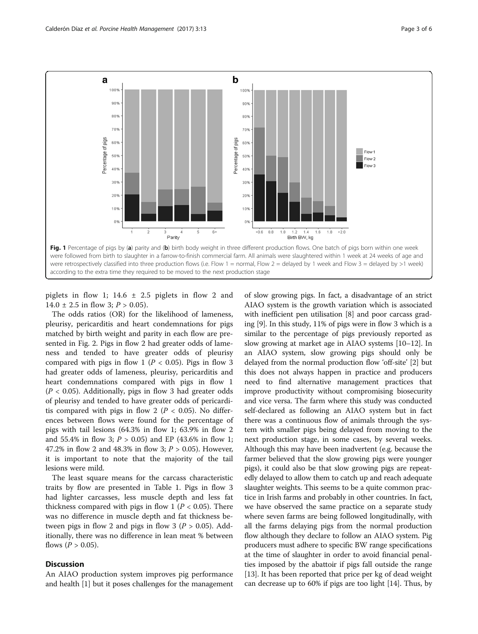<span id="page-2-0"></span>

piglets in flow 1; 14.6  $\pm$  2.5 piglets in flow 2 and  $14.0 \pm 2.5$  in flow 3;  $P > 0.05$ ).

The odds ratios (OR) for the likelihood of lameness, pleurisy, pericarditis and heart condemnations for pigs matched by birth weight and parity in each flow are presented in Fig. [2.](#page-3-0) Pigs in flow 2 had greater odds of lameness and tended to have greater odds of pleurisy compared with pigs in flow 1 ( $P < 0.05$ ). Pigs in flow 3 had greater odds of lameness, pleurisy, pericarditis and heart condemnations compared with pigs in flow 1  $(P < 0.05)$ . Additionally, pigs in flow 3 had greater odds of pleurisy and tended to have greater odds of pericarditis compared with pigs in flow 2 ( $P < 0.05$ ). No differences between flows were found for the percentage of pigs with tail lesions (64.3% in flow 1; 63.9% in flow 2 and 55.4% in flow 3;  $P > 0.05$ ) and EP (43.6% in flow 1; 47.2% in flow 2 and 48.3% in flow 3;  $P > 0.05$ ). However, it is important to note that the majority of the tail lesions were mild.

The least square means for the carcass characteristic traits by flow are presented in Table [1](#page-3-0). Pigs in flow 3 had lighter carcasses, less muscle depth and less fat thickness compared with pigs in flow 1 ( $P < 0.05$ ). There was no difference in muscle depth and fat thickness between pigs in flow 2 and pigs in flow 3 ( $P > 0.05$ ). Additionally, there was no difference in lean meat % between flows  $(P > 0.05)$ .

# Discussion

An AIAO production system improves pig performance and health [[1\]](#page-5-0) but it poses challenges for the management

of slow growing pigs. In fact, a disadvantage of an strict AIAO system is the growth variation which is associated with inefficient pen utilisation [\[8](#page-5-0)] and poor carcass grading [\[9\]](#page-5-0). In this study, 11% of pigs were in flow 3 which is a similar to the percentage of pigs previously reported as slow growing at market age in AIAO systems [\[10](#page-5-0)–[12\]](#page-5-0). In an AIAO system, slow growing pigs should only be delayed from the normal production flow 'off-site' [\[2\]](#page-5-0) but this does not always happen in practice and producers need to find alternative management practices that improve productivity without compromising biosecurity and vice versa. The farm where this study was conducted self-declared as following an AIAO system but in fact there was a continuous flow of animals through the system with smaller pigs being delayed from moving to the next production stage, in some cases, by several weeks. Although this may have been inadvertent (e.g. because the farmer believed that the slow growing pigs were younger pigs), it could also be that slow growing pigs are repeatedly delayed to allow them to catch up and reach adequate slaughter weights. This seems to be a quite common practice in Irish farms and probably in other countries. In fact, we have observed the same practice on a separate study where seven farms are being followed longitudinally, with all the farms delaying pigs from the normal production flow although they declare to follow an AIAO system. Pig producers must adhere to specific BW range specifications at the time of slaughter in order to avoid financial penalties imposed by the abattoir if pigs fall outside the range [[13](#page-5-0)]. It has been reported that price per kg of dead weight can decrease up to 60% if pigs are too light [[14](#page-5-0)]. Thus, by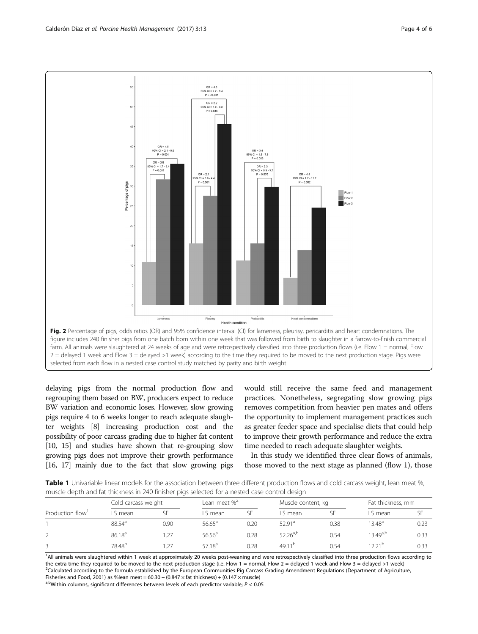<span id="page-3-0"></span>

delaying pigs from the normal production flow and regrouping them based on BW, producers expect to reduce BW variation and economic loses. However, slow growing pigs require 4 to 6 weeks longer to reach adequate slaughter weights [\[8](#page-5-0)] increasing production cost and the possibility of poor carcass grading due to higher fat content [[10](#page-5-0), [15\]](#page-5-0) and studies have shown that re-grouping slow growing pigs does not improve their growth performance [[16](#page-5-0), [17\]](#page-5-0) mainly due to the fact that slow growing pigs

would still receive the same feed and management practices. Nonetheless, segregating slow growing pigs removes competition from heavier pen mates and offers the opportunity to implement management practices such as greater feeder space and specialise diets that could help to improve their growth performance and reduce the extra time needed to reach adequate slaughter weights.

In this study we identified three clear flows of animals, those moved to the next stage as planned (flow 1), those

Table 1 Univariable linear models for the association between three different production flows and cold carcass weight, lean meat %, muscle depth and fat thickness in 240 finisher pigs selected for a nested case control design

| Production flow | Cold carcass weight |      | Lean meat $\%^2$   |      | Muscle content, kg |      | Fat thickness, mm  |      |
|-----------------|---------------------|------|--------------------|------|--------------------|------|--------------------|------|
|                 | LS mean             |      | _S mean            |      | LS mean            |      | LS mean            |      |
|                 | $88.54^{a}$         | 0.90 | $56.65^{\circ}$    | 0.20 | 52.91 <sup>a</sup> | 0.38 | $13.48^{a}$        | 0.23 |
|                 | 86.18 <sup>a</sup>  | 1.27 | 56.56 <sup>a</sup> | 0.28 | $52.26^{a,b}$      | 0.54 | $13.49^{a,b}$      | 0.33 |
|                 | 78.48 <sup>b</sup>  | 1.27 | 57.18 <sup>a</sup> | 0.28 | $49.11^{b}$        | 0.54 | 12.21 <sup>b</sup> | 0.33 |

<sup>1</sup>All animals were slaughtered within 1 week at approximately 20 weeks post-weaning and were retrospectively classified into three production flows according to the extra time they required to be moved to the next production stage (i.e. Flow 1 = normal, Flow 2 = delayed 1 week and Flow 3 = delayed >1 week) 2 Calculated according to the formula established by the European Communities Pig Carcass Grading Amendment Regulations (Department of Agriculture,

Fisheries and Food, 2001) as %lean meat = 60.30 – (0.847  $\times$  fat thickness) + (0.147  $\times$  muscle) a,bWithin columns, significant differences between levels of each predictor variable; P < 0.05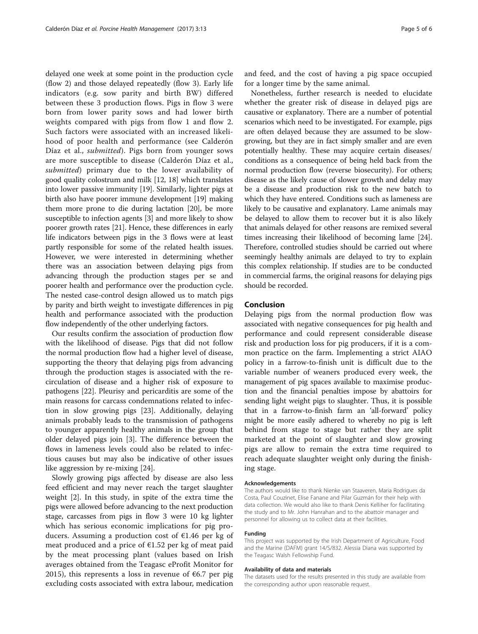delayed one week at some point in the production cycle (flow 2) and those delayed repeatedly (flow 3). Early life indicators (e.g. sow parity and birth BW) differed between these 3 production flows. Pigs in flow 3 were born from lower parity sows and had lower birth weights compared with pigs from flow 1 and flow 2. Such factors were associated with an increased likelihood of poor health and performance (see Calderón Díaz et al., submitted). Pigs born from younger sows are more susceptible to disease (Calderón Díaz et al., submitted) primary due to the lower availability of good quality colostrum and milk [\[12, 18](#page-5-0)] which translates into lower passive immunity [\[19\]](#page-5-0). Similarly, lighter pigs at birth also have poorer immune development [[19](#page-5-0)] making them more prone to die during lactation [[20](#page-5-0)], be more susceptible to infection agents [\[3](#page-5-0)] and more likely to show poorer growth rates [[21](#page-5-0)]. Hence, these differences in early life indicators between pigs in the 3 flows were at least partly responsible for some of the related health issues. However, we were interested in determining whether there was an association between delaying pigs from advancing through the production stages per se and poorer health and performance over the production cycle. The nested case-control design allowed us to match pigs by parity and birth weight to investigate differences in pig health and performance associated with the production flow independently of the other underlying factors.

Our results confirm the association of production flow with the likelihood of disease. Pigs that did not follow the normal production flow had a higher level of disease, supporting the theory that delaying pigs from advancing through the production stages is associated with the recirculation of disease and a higher risk of exposure to pathogens [[22\]](#page-5-0). Pleurisy and pericarditis are some of the main reasons for carcass condemnations related to infection in slow growing pigs [[23\]](#page-5-0). Additionally, delaying animals probably leads to the transmission of pathogens to younger apparently healthy animals in the group that older delayed pigs join [\[3](#page-5-0)]. The difference between the flows in lameness levels could also be related to infectious causes but may also be indicative of other issues like aggression by re-mixing [[24\]](#page-5-0).

Slowly growing pigs affected by disease are also less feed efficient and may never reach the target slaughter weight [\[2\]](#page-5-0). In this study, in spite of the extra time the pigs were allowed before advancing to the next production stage, carcasses from pigs in flow 3 were 10 kg lighter which has serious economic implications for pig producers. Assuming a production cost of  $E1.46$  per kg of meat produced and a price of  $E1.52$  per kg of meat paid by the meat processing plant (values based on Irish averages obtained from the Teagasc eProfit Monitor for 2015), this represents a loss in revenue of  $\epsilon$ 6.7 per pig excluding costs associated with extra labour, medication and feed, and the cost of having a pig space occupied for a longer time by the same animal.

Nonetheless, further research is needed to elucidate whether the greater risk of disease in delayed pigs are causative or explanatory. There are a number of potential scenarios which need to be investigated. For example, pigs are often delayed because they are assumed to be slowgrowing, but they are in fact simply smaller and are even potentially healthy. These may acquire certain diseases/ conditions as a consequence of being held back from the normal production flow (reverse biosecurity). For others; disease as the likely cause of slower growth and delay may be a disease and production risk to the new batch to which they have entered. Conditions such as lameness are likely to be causative and explanatory. Lame animals may be delayed to allow them to recover but it is also likely that animals delayed for other reasons are remixed several times increasing their likelihood of becoming lame [[24](#page-5-0)]. Therefore, controlled studies should be carried out where seemingly healthy animals are delayed to try to explain this complex relationship. If studies are to be conducted in commercial farms, the original reasons for delaying pigs should be recorded.

## Conclusion

Delaying pigs from the normal production flow was associated with negative consequences for pig health and performance and could represent considerable disease risk and production loss for pig producers, if it is a common practice on the farm. Implementing a strict AIAO policy in a farrow-to-finish unit is difficult due to the variable number of weaners produced every week, the management of pig spaces available to maximise production and the financial penalties impose by abattoirs for sending light weight pigs to slaughter. Thus, it is possible that in a farrow-to-finish farm an 'all-forward' policy might be more easily adhered to whereby no pig is left behind from stage to stage but rather they are split marketed at the point of slaughter and slow growing pigs are allow to remain the extra time required to reach adequate slaughter weight only during the finishing stage.

#### Acknowledgements

The authors would like to thank Nienke van Staaveren, Maria Rodrigues da Costa, Paul Couzinet, Elise Fanane and Pilar Guzmán for their help with data collection. We would also like to thank Denis Kelliher for facilitating the study and to Mr. John Hanrahan and to the abattoir manager and personnel for allowing us to collect data at their facilities.

#### Funding

This project was supported by the Irish Department of Agriculture, Food and the Marine (DAFM) grant 14/S/832. Alessia Diana was supported by the Teagasc Walsh Fellowship Fund.

#### Availability of data and materials

The datasets used for the results presented in this study are available from the corresponding author upon reasonable request.